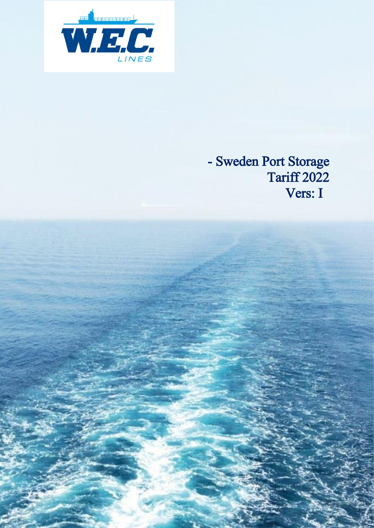

### - Sweden Port Storage **Tariff 2022** Vers: I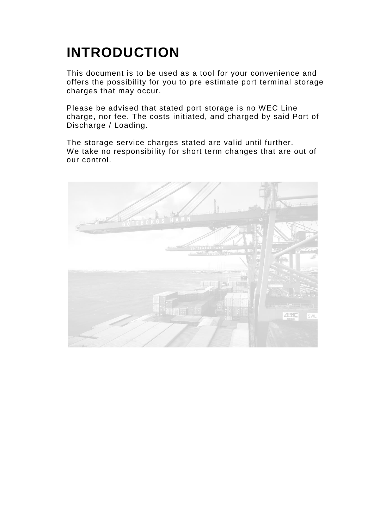# **INTRODUCTION**

This document is to be used as a tool for your convenience and offers the possibility for you to pre estimate port terminal storage charges that may occur.

Please be advised that stated port storage is no WEC Line charge, nor fee. The costs initiated, and charged by said Port of Discharge / Loading.

The storage service charges stated are valid until further. We take no responsibility for short term changes that are out of our control.

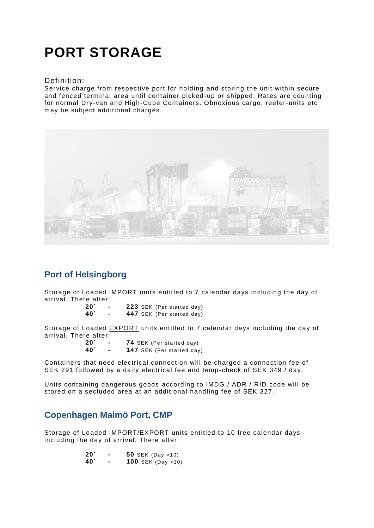## **PORT STORAGE**

#### Definition:

Service charge from respective port for holding and storing the unit within secure and fenced terminal area until container picked-up or shipped. Rates are counting for normal Dry-van and High-Cube Containers. Obnoxious cargo, reefer-units etc may be subject additional charges.



### **Port of Helsingborg**

Storage of Loaded IMPORT units entitled to 7 calendar days including the day of arrival. There after:

| 20′ |  |  | 223 SEK (Per started day) |  |
|-----|--|--|---------------------------|--|
| 40´ |  |  | 447 SEK (Per started day) |  |

Storage of Loaded EXPORT units entitled to 7 calendar days including the day of arrival. There after:

| $20^{\prime}$   | <b>74 SEK (Per started day)</b>  |
|-----------------|----------------------------------|
| 40 <sup>′</sup> | <b>147</b> SEK (Per started day) |

Containers that need electrical connection will be charged a connection fee of SEK 291 followed by a daily electrical fee and temp-check of SEK 349 / day.

Units containing dangerous goods according to IMDG / ADR / RID code will be stored on a secluded area at an additional handling fee of SEK 327.

#### **Copenhagen Malmö Port, CMP**

Storage of Loaded IMPORT/EXPORT units entitled to 10 free calendar days including the day of arrival. There after:

| 20 <sup>7</sup> | 50 SEK (Day $>10$ )         |
|-----------------|-----------------------------|
| 40 <sup>°</sup> | <b>100</b> SEK (Day $>10$ ) |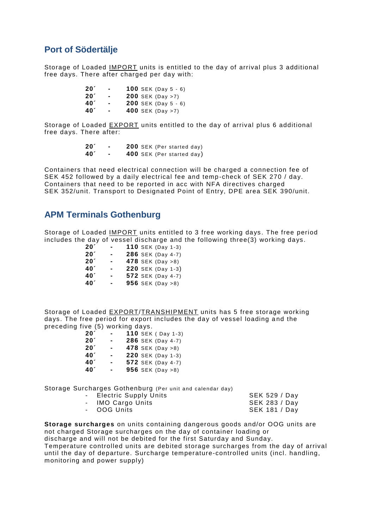#### **Port of Södertälje**

Storage of Loaded IMPORT units is entitled to the day of arrival plus 3 additional free days. There after charged per day with:

| 20 <sup>7</sup> |                | <b>100</b> SEK (Day $5 - 6$ ) |
|-----------------|----------------|-------------------------------|
| 20 <sup>7</sup> | $\blacksquare$ | <b>200</b> SEK (Day $>7$ )    |
| 40 <sup>′</sup> | -              | <b>200</b> SEK (Day $5 - 6$ ) |
| 40 <sup>′</sup> | $\blacksquare$ | 400 SEK (Day >7)              |

Storage of Loaded EXPORT units entitled to the day of arrival plus 6 additional free days. There after:

| 20 <sup>′</sup> | <b>200</b> SEK (Per started day) |
|-----------------|----------------------------------|
| 40 <sup>'</sup> | 400 SEK (Per started day)        |

Containers that need electrical connection will be charged a connection fee of SEK 452 followed by a daily electrical fee and temp -check of SEK 270 / day. Containers that need to be reported in acc with NFA directives charged SEK 352/unit. Transport to Designated Point of Entry, DPE area SEK 390/unit.

#### **APM Terminals Gothenburg**

Storage of Loaded IMPORT units entitled to 3 free working days . The free period includes the day of vessel discharge and the following three(3) working days.

| 20 <sup>2</sup> |                | 110 SEK (Day 1-3) |
|-----------------|----------------|-------------------|
| 20 <sup>7</sup> |                | 286 SEK (Day 4-7) |
| 20 <sup>′</sup> |                | 478 SEK (Day >8)  |
| 40 <sup>′</sup> | $\blacksquare$ | 220 SEK (Day 1-3) |
| 40 <sup>′</sup> |                | 572 SEK (Day 4-7) |
| 40 <sup>′</sup> |                | 956 SEK (Day >8)  |

Storage of Loaded EXPORT/TRANSHIPMENT units has 5 free storage working days. The free period for export includes the day of vessel loading and the preceding five (5) working days.

| 20 <sup>7</sup> | <b>110</b> SEK ( Day 1-3)  |
|-----------------|----------------------------|
| 20 <sup>7</sup> | 286 SEK (Day 4-7)          |
| 20 <sup>7</sup> | 478 SEK (Day $>8$ )        |
| 40 <sup>′</sup> | 220 SEK (Day 1-3)          |
| 40 <sup>′</sup> | 572 SEK (Day 4-7)          |
| 40 <sup>′</sup> | <b>956</b> SEK (Day $>8$ ) |

Storage Surcharges Gothenburg (Per unit and calendar day)

| - Electric Supply Units | SEK 529 / Day        |
|-------------------------|----------------------|
| - IMO Cargo Units       | <b>SEK 283 / Day</b> |
| - OOG Units             | <b>SEK 181 / Day</b> |

**Storage surcharges** on units containing dangerous goods and/or OOG units are not charged Storage surcharges on the day of container loading or discharge and will not be debited for the first Saturday and Sunday. Temperature controlled units are debited storage surcharges from the day of arrival until the day of departure. Surcharge temperature-controlled units (incl. handling, monitoring and power supply)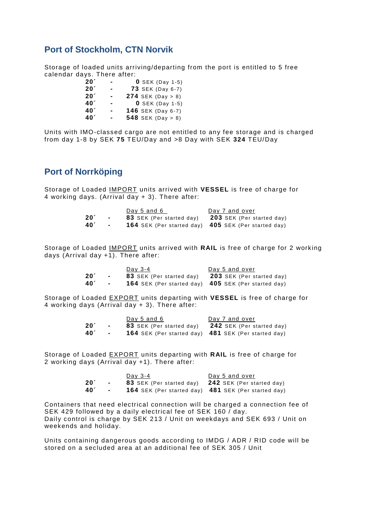#### **Port of Stockholm, CTN Norvik**

Storage of loaded units arriving/departing from the port is entitled to 5 free calendar days. There after:

| 20 <sup>7</sup> | $\blacksquare$ | <b>0</b> SEK (Day 1-5)      |
|-----------------|----------------|-----------------------------|
| 20 <sup>7</sup> | -              | <b>73 SEK (Day 6-7)</b>     |
| 20 <sup>′</sup> |                | <b>274</b> SEK (Day $> 8$ ) |
| 40 <sup>'</sup> | $\blacksquare$ | $0$ SEK (Day 1-5)           |
| 40 <sup>'</sup> |                | 146 SEK (Day 6-7)           |
| 40 <sup>'</sup> |                | 548 SEK (Day $> 8$ )        |

Units with IMO-classed cargo are not entitled to any fee storage and is charged from day 1-8 by SEK **75** TEU/Day and >8 Day with SEK **324** TEU/Day

#### **Port of Norrköping**

Storage of Loaded IMPORT units arrived with **VESSEL** is free of charge for 4 working days. (Arrival day + 3). There after:

|                 |                          | Day 5 and 6                     | Day 7 and over                                                    |
|-----------------|--------------------------|---------------------------------|-------------------------------------------------------------------|
| 20 <sup>2</sup> | $\overline{\phantom{0}}$ | <b>83</b> SEK (Per started day) | <b>203</b> SEK (Per started day)                                  |
| 40 <sup>′</sup> | $\sim$                   |                                 | <b>164</b> SEK (Per started day) <b>405</b> SEK (Per started day) |

Storage of Loaded IMPORT units arrived with **RAIL** is free of charge for 2 working days (Arrival day +1). There after:

|                |                | Dav 3-4                         | Day 5 and over                                             |
|----------------|----------------|---------------------------------|------------------------------------------------------------|
| $20^{\degree}$ | $\blacksquare$ | <b>83</b> SEK (Per started day) | <b>203</b> SEK (Per started day)                           |
| <b>40</b>      | $\sim$         |                                 | <b>164</b> SEK (Per started day) 405 SEK (Per started day) |

Storage of Loaded EXPORT units departing with **VESSEL** is free of charge for 4 working days (Arrival day + 3). There after:

|                 |        | Day 5 and 6                     | Day 7 and over                                                    |
|-----------------|--------|---------------------------------|-------------------------------------------------------------------|
| $20^{\circ}$    | $\sim$ | <b>83</b> SEK (Per started day) | <b>242</b> SEK (Per started day)                                  |
| 40 <sup>'</sup> | $\sim$ |                                 | <b>164</b> SEK (Per started day) <b>481</b> SEK (Per started day) |

Storage of Loaded EXPORT units departing with **RAIL** is free of charge for 2 working days (Arrival day +1). There after:

|                 |        | Day 3-4                         | Day 5 and over                                                    |
|-----------------|--------|---------------------------------|-------------------------------------------------------------------|
| 20 <sup>′</sup> | $\sim$ | <b>83</b> SEK (Per started day) | <b>242</b> SEK (Per started day)                                  |
| 40 <sup>′</sup> | $\sim$ |                                 | <b>164</b> SEK (Per started day) <b>481</b> SEK (Per started day) |

Containers that need electrical connection will be charged a connection fee of SEK 429 followed by a daily electrical fee of SEK 160 / day. Daily control is charge by SEK 213 / Unit on weekdays and SEK 693 / Unit on weekends and holiday.

Units containing dangerous goods according to IMDG / ADR / RID code will be stored on a secluded area at an additional fee of SEK 305 / Unit